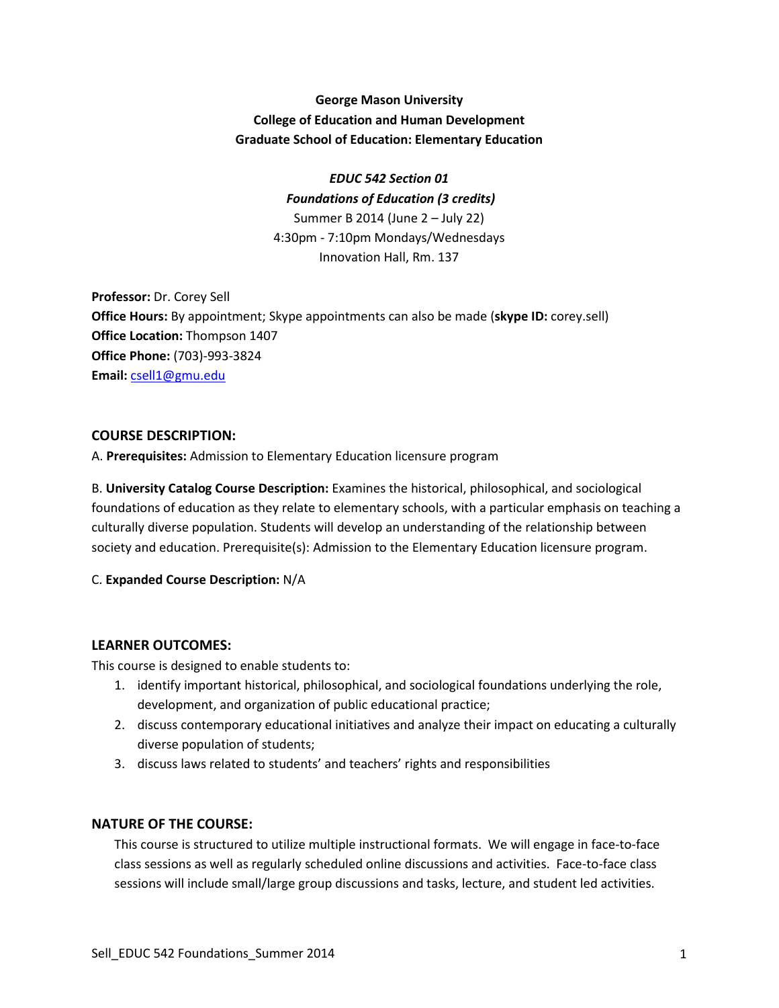# **George Mason University College of Education and Human Development Graduate School of Education: Elementary Education**

## *EDUC 542 Section 01 Foundations of Education (3 credits)*

Summer B 2014 (June 2 – July 22) 4:30pm - 7:10pm Mondays/Wednesdays Innovation Hall, Rm. 137

**Professor:** Dr. Corey Sell **Office Hours:** By appointment; Skype appointments can also be made (**skype ID:** corey.sell) **Office Location:** Thompson 1407 **Office Phone:** (703)-993-3824 **Email:** [csell1@gmu.edu](mailto:csell1@gmu.edu)

# **COURSE DESCRIPTION:**

A. **Prerequisites:** Admission to Elementary Education licensure program

B. **University Catalog Course Description:** Examines the historical, philosophical, and sociological foundations of education as they relate to elementary schools, with a particular emphasis on teaching a culturally diverse population. Students will develop an understanding of the relationship between society and education. Prerequisite(s): Admission to the Elementary Education licensure program.

# C. **Expanded Course Description:** N/A

# **LEARNER OUTCOMES:**

This course is designed to enable students to:

- 1. identify important historical, philosophical, and sociological foundations underlying the role, development, and organization of public educational practice;
- 2. discuss contemporary educational initiatives and analyze their impact on educating a culturally diverse population of students;
- 3. discuss laws related to students' and teachers' rights and responsibilities

# **NATURE OF THE COURSE:**

This course is structured to utilize multiple instructional formats. We will engage in face-to-face class sessions as well as regularly scheduled online discussions and activities. Face-to-face class sessions will include small/large group discussions and tasks, lecture, and student led activities.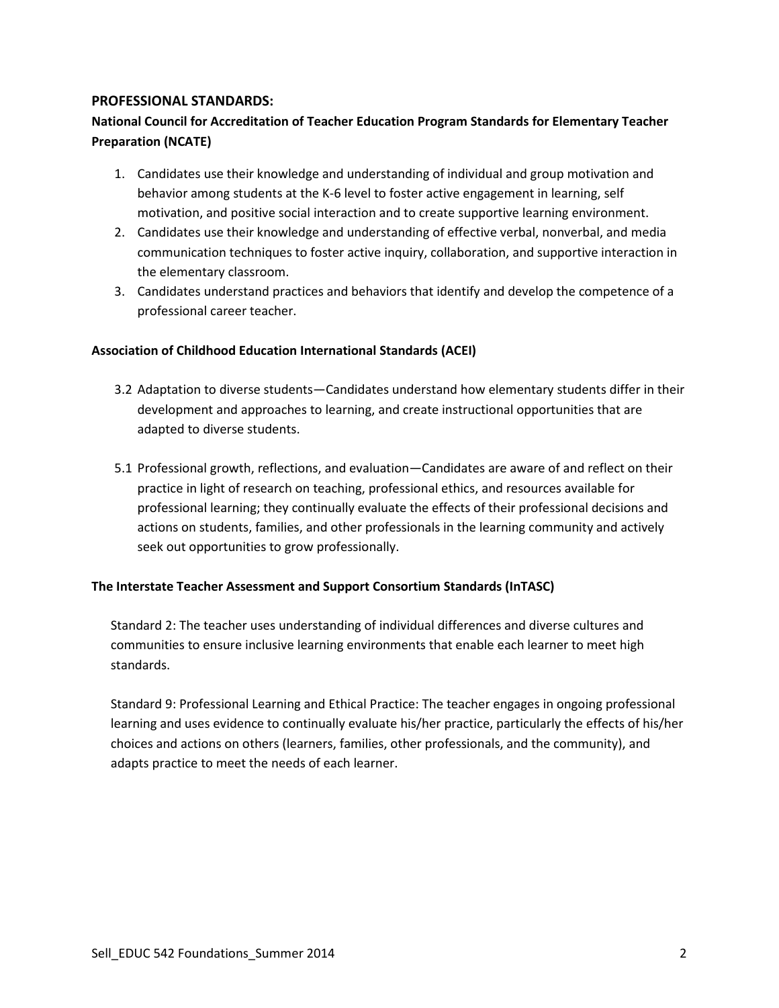## **PROFESSIONAL STANDARDS:**

# **National Council for Accreditation of Teacher Education Program Standards for Elementary Teacher Preparation (NCATE)**

- 1. Candidates use their knowledge and understanding of individual and group motivation and behavior among students at the K-6 level to foster active engagement in learning, self motivation, and positive social interaction and to create supportive learning environment.
- 2. Candidates use their knowledge and understanding of effective verbal, nonverbal, and media communication techniques to foster active inquiry, collaboration, and supportive interaction in the elementary classroom.
- 3. Candidates understand practices and behaviors that identify and develop the competence of a professional career teacher.

### **Association of Childhood Education International Standards (ACEI)**

- 3.2 Adaptation to diverse students—Candidates understand how elementary students differ in their development and approaches to learning, and create instructional opportunities that are adapted to diverse students.
- 5.1 Professional growth, reflections, and evaluation—Candidates are aware of and reflect on their practice in light of research on teaching, professional ethics, and resources available for professional learning; they continually evaluate the effects of their professional decisions and actions on students, families, and other professionals in the learning community and actively seek out opportunities to grow professionally.

### **The Interstate Teacher Assessment and Support Consortium Standards (InTASC)**

Standard 2: The teacher uses understanding of individual differences and diverse cultures and communities to ensure inclusive learning environments that enable each learner to meet high standards.

Standard 9: Professional Learning and Ethical Practice: The teacher engages in ongoing professional learning and uses evidence to continually evaluate his/her practice, particularly the effects of his/her choices and actions on others (learners, families, other professionals, and the community), and adapts practice to meet the needs of each learner.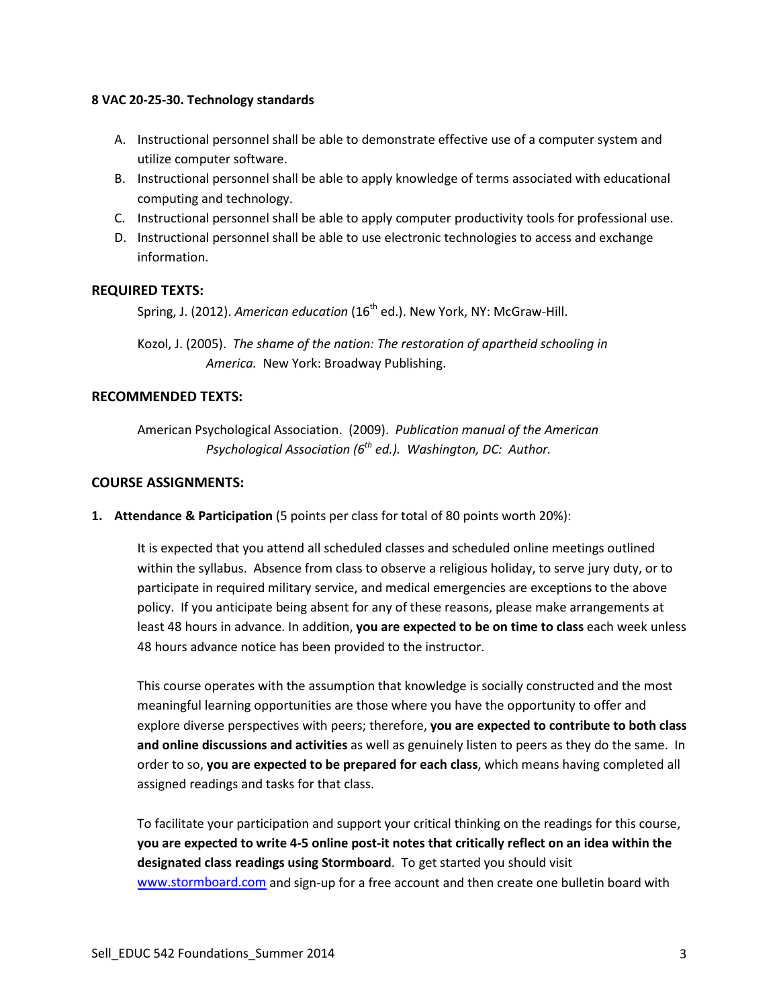#### **8 VAC 20-25-30. Technology standards**

- A. Instructional personnel shall be able to demonstrate effective use of a computer system and utilize computer software.
- B. Instructional personnel shall be able to apply knowledge of terms associated with educational computing and technology.
- C. Instructional personnel shall be able to apply computer productivity tools for professional use.
- D. Instructional personnel shall be able to use electronic technologies to access and exchange information.

## **REQUIRED TEXTS:**

Spring, J. (2012). *American education* (16<sup>th</sup> ed.). New York, NY: McGraw-Hill.

Kozol, J. (2005). *The shame of the nation: The restoration of apartheid schooling in America.* New York: Broadway Publishing.

### **RECOMMENDED TEXTS:**

American Psychological Association. (2009). *Publication manual of the American Psychological Association (6th ed.). Washington, DC: Author.* 

### **COURSE ASSIGNMENTS:**

**1. Attendance & Participation** (5 points per class for total of 80 points worth 20%):

It is expected that you attend all scheduled classes and scheduled online meetings outlined within the syllabus. Absence from class to observe a religious holiday, to serve jury duty, or to participate in required military service, and medical emergencies are exceptions to the above policy. If you anticipate being absent for any of these reasons, please make arrangements at least 48 hours in advance. In addition, **you are expected to be on time to class** each week unless 48 hours advance notice has been provided to the instructor.

This course operates with the assumption that knowledge is socially constructed and the most meaningful learning opportunities are those where you have the opportunity to offer and explore diverse perspectives with peers; therefore, **you are expected to contribute to both class and online discussions and activities** as well as genuinely listen to peers as they do the same. In order to so, **you are expected to be prepared for each class**, which means having completed all assigned readings and tasks for that class.

To facilitate your participation and support your critical thinking on the readings for this course, **you are expected to write 4-5 online post-it notes that critically reflect on an idea within the designated class readings using Stormboard**. To get started you should visit [www.stormboard.com](http://www.stormboard.com/) and sign-up for a free account and then create one bulletin board with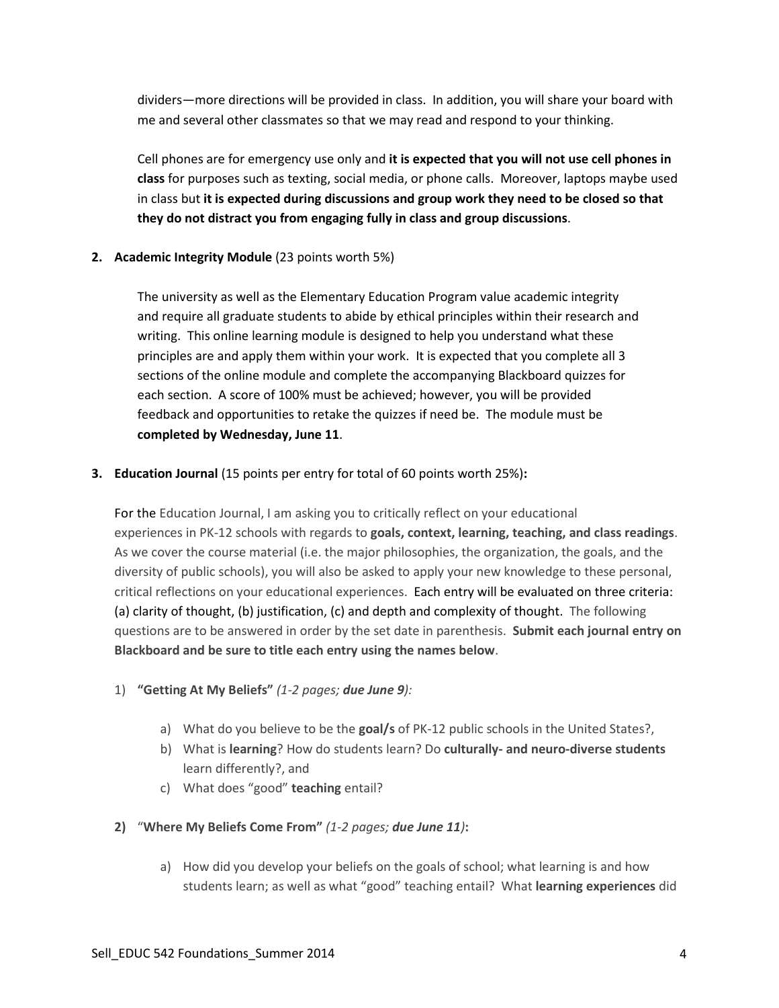dividers—more directions will be provided in class. In addition, you will share your board with me and several other classmates so that we may read and respond to your thinking.

Cell phones are for emergency use only and **it is expected that you will not use cell phones in class** for purposes such as texting, social media, or phone calls. Moreover, laptops maybe used in class but **it is expected during discussions and group work they need to be closed so that they do not distract you from engaging fully in class and group discussions**.

## **2. Academic Integrity Module** (23 points worth 5%)

The university as well as the Elementary Education Program value academic integrity and require all graduate students to abide by ethical principles within their research and writing. This online learning module is designed to help you understand what these principles are and apply them within your work. It is expected that you complete all 3 sections of the online module and complete the accompanying Blackboard quizzes for each section. A score of 100% must be achieved; however, you will be provided feedback and opportunities to retake the quizzes if need be. The module must be **completed by Wednesday, June 11**.

## **3. Education Journal** (15 points per entry for total of 60 points worth 25%)**:**

For the Education Journal, I am asking you to critically reflect on your educational experiences in PK-12 schools with regards to **goals, context, learning, teaching, and class readings**. As we cover the course material (i.e. the major philosophies, the organization, the goals, and the diversity of public schools), you will also be asked to apply your new knowledge to these personal, critical reflections on your educational experiences. Each entry will be evaluated on three criteria: (a) clarity of thought, (b) justification, (c) and depth and complexity of thought. The following questions are to be answered in order by the set date in parenthesis. **Submit each journal entry on Blackboard and be sure to title each entry using the names below**.

- 1) **"Getting At My Beliefs"** *(1-2 pages; due June 9):*
	- a) What do you believe to be the **goal/s** of PK-12 public schools in the United States?,
	- b) What is **learning**? How do students learn? Do **culturally- and neuro-diverse students** learn differently?, and
	- c) What does "good" **teaching** entail?
- **2)** "**Where My Beliefs Come From"** *(1-2 pages; due June 11)***:** 
	- a) How did you develop your beliefs on the goals of school; what learning is and how students learn; as well as what "good" teaching entail? What **learning experiences** did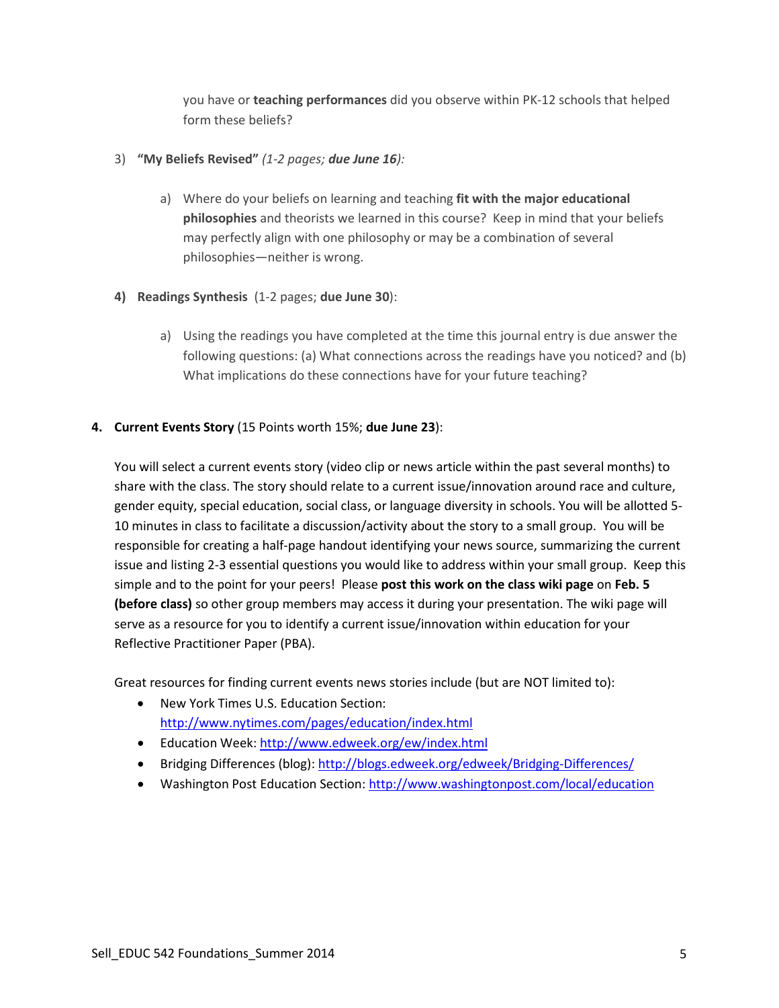you have or **teaching performances** did you observe within PK-12 schools that helped form these beliefs?

## 3) **"My Beliefs Revised"** *(1-2 pages; due June 16):*

- a) Where do your beliefs on learning and teaching **fit with the major educational philosophies** and theorists we learned in this course? Keep in mind that your beliefs may perfectly align with one philosophy or may be a combination of several philosophies—neither is wrong.
- **4) Readings Synthesis** (1-2 pages; **due June 30**):
	- a) Using the readings you have completed at the time this journal entry is due answer the following questions: (a) What connections across the readings have you noticed? and (b) What implications do these connections have for your future teaching?

## **4. Current Events Story** (15 Points worth 15%; **due June 23**):

You will select a current events story (video clip or news article within the past several months) to share with the class. The story should relate to a current issue/innovation around race and culture, gender equity, special education, social class, or language diversity in schools. You will be allotted 5- 10 minutes in class to facilitate a discussion/activity about the story to a small group. You will be responsible for creating a half-page handout identifying your news source, summarizing the current issue and listing 2-3 essential questions you would like to address within your small group. Keep this simple and to the point for your peers! Please **post this work on the class wiki page** on **Feb. 5 (before class)** so other group members may access it during your presentation. The wiki page will serve as a resource for you to identify a current issue/innovation within education for your Reflective Practitioner Paper (PBA).

Great resources for finding current events news stories include (but are NOT limited to):

- New York Times U.S. Education Section: <http://www.nytimes.com/pages/education/index.html>
- Education Week:<http://www.edweek.org/ew/index.html>
- Bridging Differences (blog):<http://blogs.edweek.org/edweek/Bridging-Differences/>
- Washington Post Education Section:<http://www.washingtonpost.com/local/education>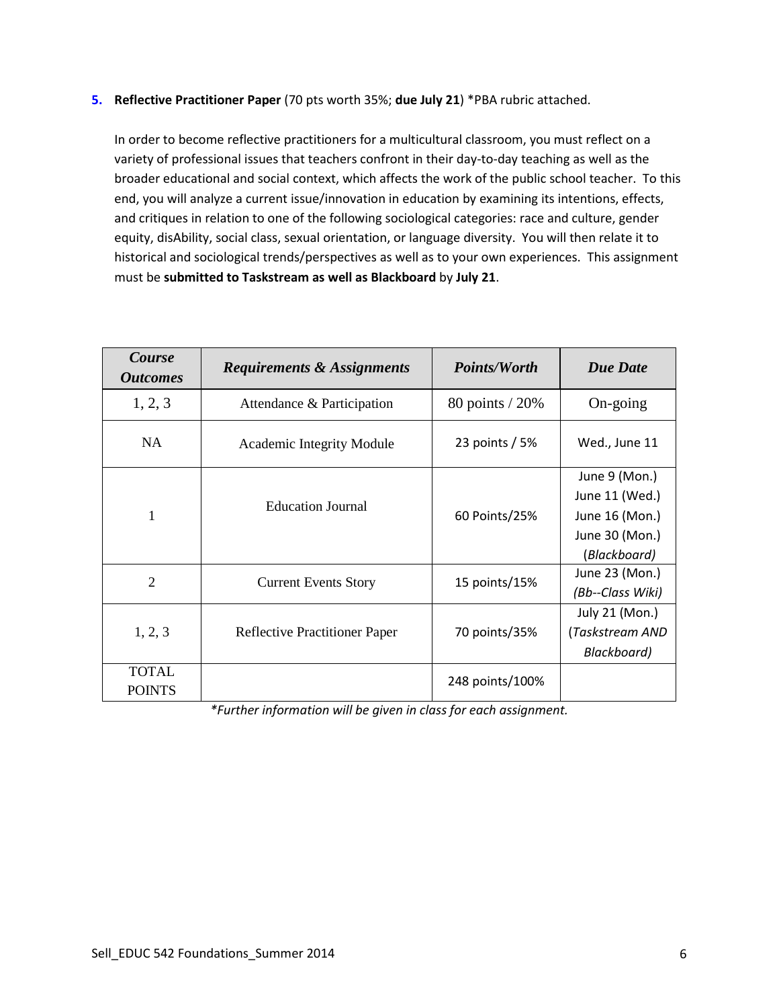## **5. Reflective Practitioner Paper** (70 pts worth 35%; **due July 21**) \*PBA rubric attached.

In order to become reflective practitioners for a multicultural classroom, you must reflect on a variety of professional issues that teachers confront in their day-to-day teaching as well as the broader educational and social context, which affects the work of the public school teacher. To this end, you will analyze a current issue/innovation in education by examining its intentions, effects, and critiques in relation to one of the following sociological categories: race and culture, gender equity, disAbility, social class, sexual orientation, or language diversity. You will then relate it to historical and sociological trends/perspectives as well as to your own experiences. This assignment must be **submitted to Taskstream as well as Blackboard** by **July 21**.

| Course<br><b>Outcomes</b>     | <b>Requirements &amp; Assignments</b> | <b>Points/Worth</b> | <b>Due Date</b>  |
|-------------------------------|---------------------------------------|---------------------|------------------|
| 1, 2, 3                       | Attendance & Participation            | 80 points / 20%     | On-going         |
| NA                            | <b>Academic Integrity Module</b>      | 23 points / 5%      | Wed., June 11    |
|                               |                                       |                     | June 9 (Mon.)    |
|                               | <b>Education Journal</b>              | 60 Points/25%       | June 11 (Wed.)   |
| $\mathbf{1}$                  |                                       |                     | June 16 (Mon.)   |
|                               |                                       |                     | June 30 (Mon.)   |
|                               |                                       |                     | (Blackboard)     |
| $\overline{2}$                | <b>Current Events Story</b>           | 15 points/15%       | June 23 (Mon.)   |
|                               |                                       |                     | (Bb--Class Wiki) |
|                               |                                       |                     | July 21 (Mon.)   |
| 1, 2, 3                       | <b>Reflective Practitioner Paper</b>  | 70 points/35%       | (Taskstream AND  |
|                               |                                       |                     | Blackboard)      |
| <b>TOTAL</b><br><b>POINTS</b> |                                       | 248 points/100%     |                  |

*\*Further information will be given in class for each assignment.*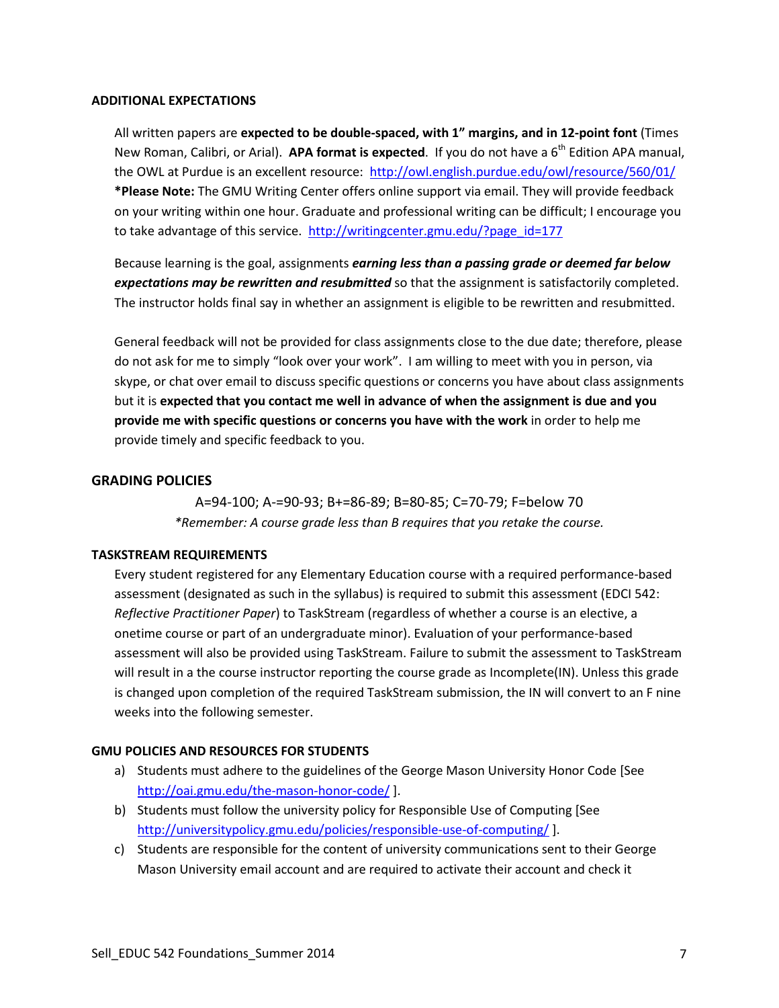#### **ADDITIONAL EXPECTATIONS**

All written papers are **expected to be double-spaced, with 1" margins, and in 12-point font** (Times New Roman, Calibri, or Arial). **APA format is expected**. If you do not have a 6<sup>th</sup> Edition APA manual, the OWL at Purdue is an excellent resource:<http://owl.english.purdue.edu/owl/resource/560/01/> **\*Please Note:** The GMU Writing Center offers online support via email. They will provide feedback on your writing within one hour. Graduate and professional writing can be difficult; I encourage you to take advantage of this service. [http://writingcenter.gmu.edu/?page\\_id=177](http://writingcenter.gmu.edu/?page_id=177)

Because learning is the goal, assignments *earning less than a passing grade or deemed far below expectations may be rewritten and resubmitted* so that the assignment is satisfactorily completed. The instructor holds final say in whether an assignment is eligible to be rewritten and resubmitted.

General feedback will not be provided for class assignments close to the due date; therefore, please do not ask for me to simply "look over your work". I am willing to meet with you in person, via skype, or chat over email to discuss specific questions or concerns you have about class assignments but it is **expected that you contact me well in advance of when the assignment is due and you provide me with specific questions or concerns you have with the work** in order to help me provide timely and specific feedback to you.

## **GRADING POLICIES**

A=94-100; A-=90-93; B+=86-89; B=80-85; C=70-79; F=below 70 *\*Remember: A course grade less than B requires that you retake the course.*

### **TASKSTREAM REQUIREMENTS**

Every student registered for any Elementary Education course with a required performance-based assessment (designated as such in the syllabus) is required to submit this assessment (EDCI 542: *Reflective Practitioner Paper*) to TaskStream (regardless of whether a course is an elective, a onetime course or part of an undergraduate minor). Evaluation of your performance-based assessment will also be provided using TaskStream. Failure to submit the assessment to TaskStream will result in a the course instructor reporting the course grade as Incomplete(IN). Unless this grade is changed upon completion of the required TaskStream submission, the IN will convert to an F nine weeks into the following semester.

### **GMU POLICIES AND RESOURCES FOR STUDENTS**

- a) Students must adhere to the guidelines of the George Mason University Honor Code [See <http://oai.gmu.edu/the-mason-honor-code/> ].
- b) Students must follow the university policy for Responsible Use of Computing [See <http://universitypolicy.gmu.edu/policies/responsible-use-of-computing/> ].
- c) Students are responsible for the content of university communications sent to their George Mason University email account and are required to activate their account and check it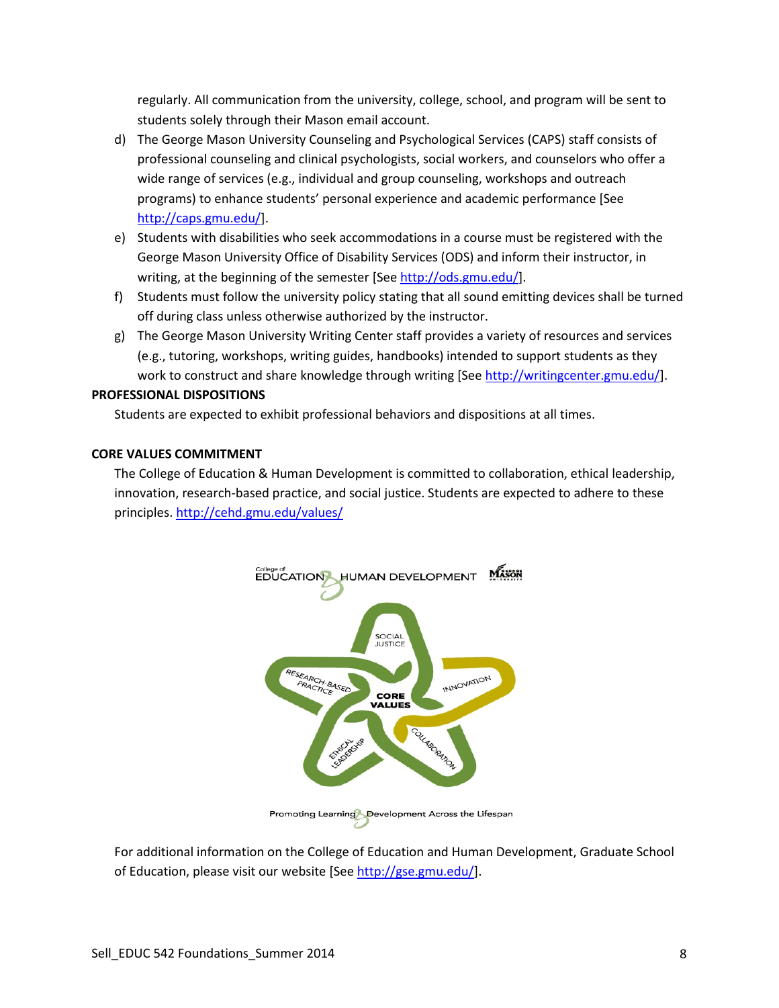regularly. All communication from the university, college, school, and program will be sent to students solely through their Mason email account.

- d) The George Mason University Counseling and Psychological Services (CAPS) staff consists of professional counseling and clinical psychologists, social workers, and counselors who offer a wide range of services (e.g., individual and group counseling, workshops and outreach programs) to enhance students' personal experience and academic performance [See [http://caps.gmu.edu/\]](http://caps.gmu.edu/).
- e) Students with disabilities who seek accommodations in a course must be registered with the George Mason University Office of Disability Services (ODS) and inform their instructor, in writing, at the beginning of the semester [Se[e http://ods.gmu.edu/\]](http://ods.gmu.edu/).
- f) Students must follow the university policy stating that all sound emitting devices shall be turned off during class unless otherwise authorized by the instructor.
- g) The George Mason University Writing Center staff provides a variety of resources and services (e.g., tutoring, workshops, writing guides, handbooks) intended to support students as they work to construct and share knowledge through writing [Se[e http://writingcenter.gmu.edu/\]](http://writingcenter.gmu.edu/).

### **PROFESSIONAL DISPOSITIONS**

Students are expected to exhibit professional behaviors and dispositions at all times.

#### **CORE VALUES COMMITMENT**

The College of Education & Human Development is committed to collaboration, ethical leadership, innovation, research-based practice, and social justice. Students are expected to adhere to these principles.<http://cehd.gmu.edu/values/>



For additional information on the College of Education and Human Development, Graduate School of Education, please visit our website [Se[e http://gse.gmu.edu/\]](http://gse.gmu.edu/).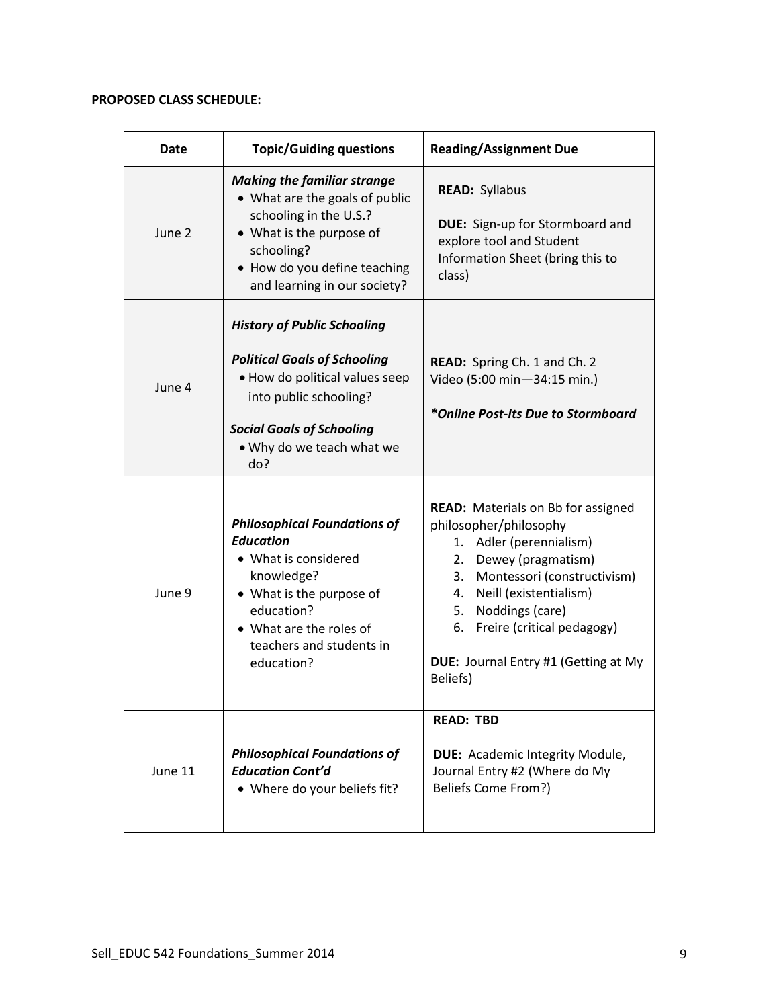# **PROPOSED CLASS SCHEDULE:**

| Date    | <b>Topic/Guiding questions</b>                                                                                                                                                                                | <b>Reading/Assignment Due</b>                                                                                                                                                                                                                                                                                 |
|---------|---------------------------------------------------------------------------------------------------------------------------------------------------------------------------------------------------------------|---------------------------------------------------------------------------------------------------------------------------------------------------------------------------------------------------------------------------------------------------------------------------------------------------------------|
| June 2  | <b>Making the familiar strange</b><br>• What are the goals of public<br>schooling in the U.S.?<br>• What is the purpose of<br>schooling?<br>• How do you define teaching<br>and learning in our society?      | <b>READ: Syllabus</b><br><b>DUE:</b> Sign-up for Stormboard and<br>explore tool and Student<br>Information Sheet (bring this to<br>class)                                                                                                                                                                     |
| June 4  | <b>History of Public Schooling</b><br><b>Political Goals of Schooling</b><br>. How do political values seep<br>into public schooling?<br><b>Social Goals of Schooling</b><br>. Why do we teach what we<br>do? | READ: Spring Ch. 1 and Ch. 2<br>Video (5:00 min-34:15 min.)<br>*Online Post-Its Due to Stormboard                                                                                                                                                                                                             |
| June 9  | <b>Philosophical Foundations of</b><br><b>Education</b><br>• What is considered<br>knowledge?<br>• What is the purpose of<br>education?<br>• What are the roles of<br>teachers and students in<br>education?  | <b>READ:</b> Materials on Bb for assigned<br>philosopher/philosophy<br>1. Adler (perennialism)<br>Dewey (pragmatism)<br>2.<br>Montessori (constructivism)<br>3.<br>Neill (existentialism)<br>4.<br>Noddings (care)<br>5.<br>6. Freire (critical pedagogy)<br>DUE: Journal Entry #1 (Getting at My<br>Beliefs) |
| June 11 | <b>Philosophical Foundations of</b><br><b>Education Cont'd</b><br>• Where do your beliefs fit?                                                                                                                | <b>READ: TBD</b><br><b>DUE:</b> Academic Integrity Module,<br>Journal Entry #2 (Where do My<br><b>Beliefs Come From?)</b>                                                                                                                                                                                     |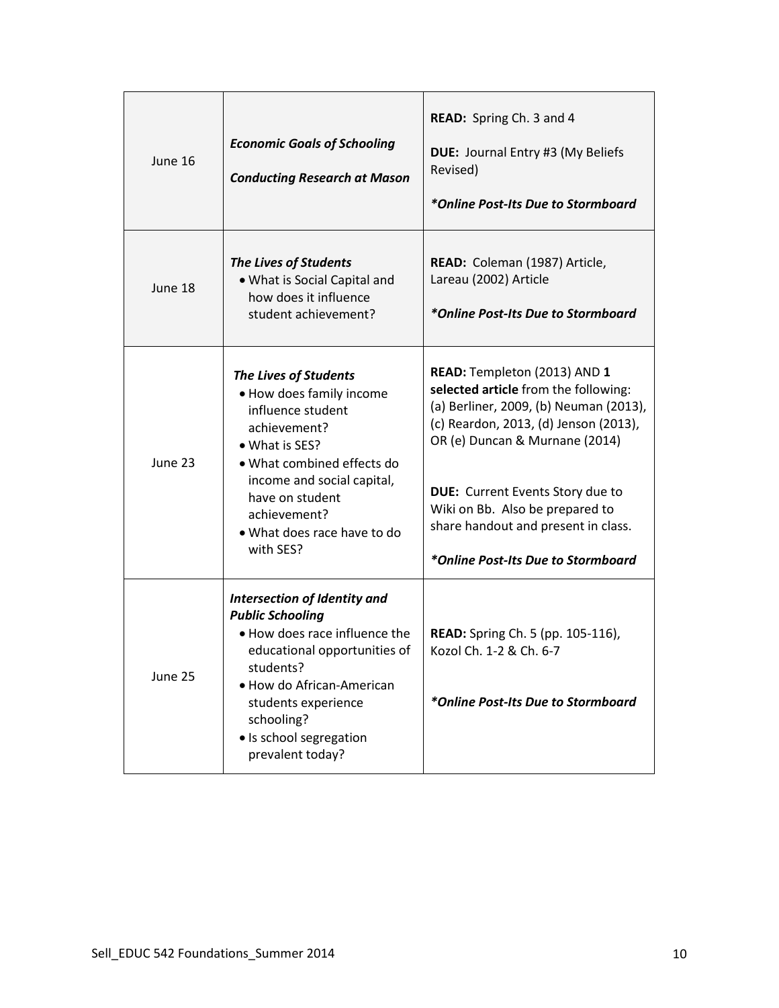| June 16 | <b>Economic Goals of Schooling</b><br><b>Conducting Research at Mason</b>                                                                                                                                                                                     | READ: Spring Ch. 3 and 4<br>DUE: Journal Entry #3 (My Beliefs<br>Revised)<br>*Online Post-Its Due to Stormboard                                                                                                                                                                                                                                      |
|---------|---------------------------------------------------------------------------------------------------------------------------------------------------------------------------------------------------------------------------------------------------------------|------------------------------------------------------------------------------------------------------------------------------------------------------------------------------------------------------------------------------------------------------------------------------------------------------------------------------------------------------|
| June 18 | <b>The Lives of Students</b><br>• What is Social Capital and<br>how does it influence<br>student achievement?                                                                                                                                                 | READ: Coleman (1987) Article,<br>Lareau (2002) Article<br>*Online Post-Its Due to Stormboard                                                                                                                                                                                                                                                         |
| June 23 | The Lives of Students<br>. How does family income<br>influence student<br>achievement?<br>• What is SES?<br>. What combined effects do<br>income and social capital,<br>have on student<br>achievement?<br>. What does race have to do<br>with SES?           | READ: Templeton (2013) AND 1<br>selected article from the following:<br>(a) Berliner, 2009, (b) Neuman (2013),<br>(c) Reardon, 2013, (d) Jenson (2013),<br>OR (e) Duncan & Murnane (2014)<br><b>DUE:</b> Current Events Story due to<br>Wiki on Bb. Also be prepared to<br>share handout and present in class.<br>*Online Post-Its Due to Stormboard |
| June 25 | <b>Intersection of Identity and</b><br><b>Public Schooling</b><br>. How does race influence the<br>educational opportunities of<br>students?<br>• How do African-American<br>students experience<br>schooling?<br>· Is school segregation<br>prevalent today? | <b>READ:</b> Spring Ch. 5 (pp. 105-116),<br>Kozol Ch. 1-2 & Ch. 6-7<br>*Online Post-Its Due to Stormboard                                                                                                                                                                                                                                            |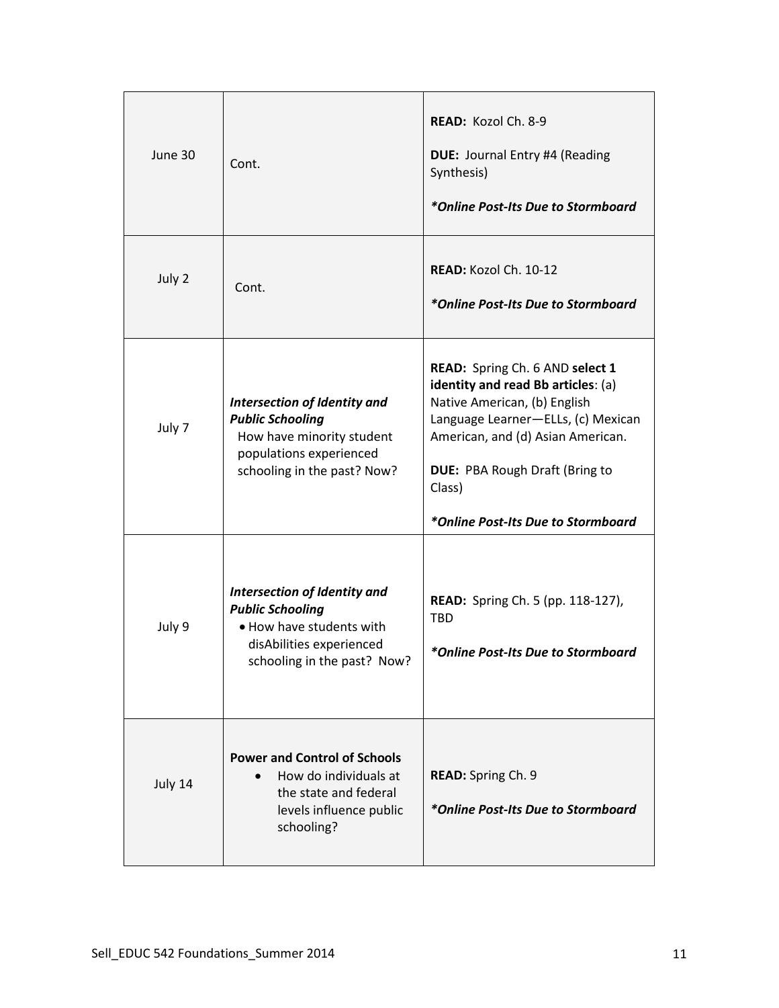| June 30 | Cont.                                                                                                                                          | READ: Kozol Ch. 8-9<br>DUE: Journal Entry #4 (Reading<br>Synthesis)<br>*Online Post-Its Due to Stormboard                                                                                                                                                                 |
|---------|------------------------------------------------------------------------------------------------------------------------------------------------|---------------------------------------------------------------------------------------------------------------------------------------------------------------------------------------------------------------------------------------------------------------------------|
| July 2  | Cont.                                                                                                                                          | READ: Kozol Ch. 10-12<br>*Online Post-Its Due to Stormboard                                                                                                                                                                                                               |
| July 7  | Intersection of Identity and<br><b>Public Schooling</b><br>How have minority student<br>populations experienced<br>schooling in the past? Now? | READ: Spring Ch. 6 AND select 1<br>identity and read Bb articles: (a)<br>Native American, (b) English<br>Language Learner-ELLs, (c) Mexican<br>American, and (d) Asian American.<br><b>DUE: PBA Rough Draft (Bring to</b><br>Class)<br>*Online Post-Its Due to Stormboard |
| July 9  | Intersection of Identity and<br><b>Public Schooling</b><br>. How have students with<br>disAbilities experienced<br>schooling in the past? Now? | <b>READ:</b> Spring Ch. 5 (pp. 118-127),<br><b>TBD</b><br>*Online Post-Its Due to Stormboard                                                                                                                                                                              |
| July 14 | <b>Power and Control of Schools</b><br>How do individuals at<br>the state and federal<br>levels influence public<br>schooling?                 | READ: Spring Ch. 9<br>*Online Post-Its Due to Stormboard                                                                                                                                                                                                                  |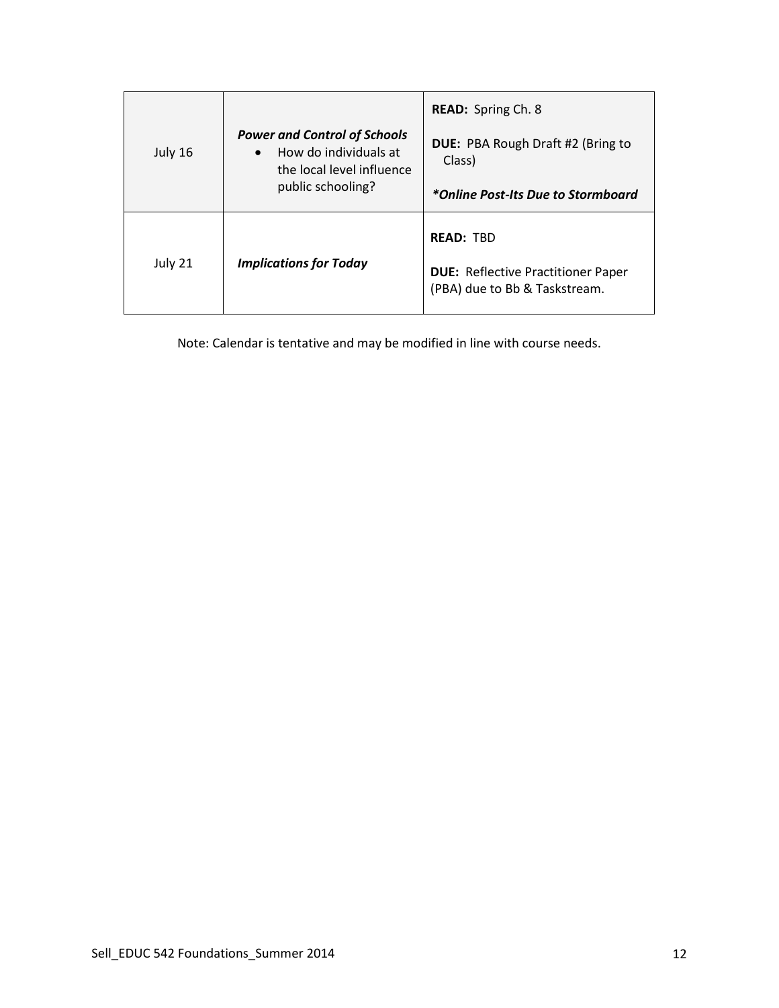|                                          |                                                                                                        | <b>READ:</b> Spring Ch. 8                   |
|------------------------------------------|--------------------------------------------------------------------------------------------------------|---------------------------------------------|
| July 16                                  | <b>Power and Control of Schools</b><br>How do individuals at<br>$\bullet$<br>the local level influence | DUE: PBA Rough Draft #2 (Bring to<br>Class) |
|                                          | public schooling?                                                                                      | *Online Post-Its Due to Stormboard          |
|                                          |                                                                                                        | <b>READ: TRD</b>                            |
| July 21<br><b>Implications for Today</b> | <b>DUE: Reflective Practitioner Paper</b><br>(PBA) due to Bb & Taskstream.                             |                                             |

Note: Calendar is tentative and may be modified in line with course needs.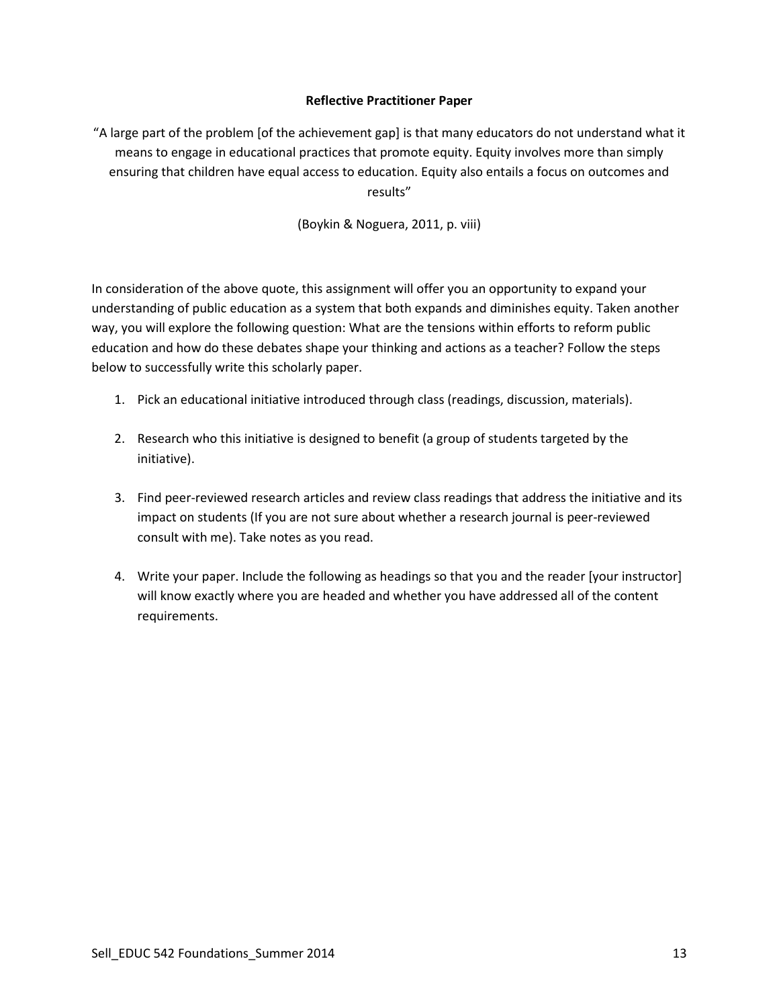### **Reflective Practitioner Paper**

"A large part of the problem [of the achievement gap] is that many educators do not understand what it means to engage in educational practices that promote equity. Equity involves more than simply ensuring that children have equal access to education. Equity also entails a focus on outcomes and results"

(Boykin & Noguera, 2011, p. viii)

In consideration of the above quote, this assignment will offer you an opportunity to expand your understanding of public education as a system that both expands and diminishes equity. Taken another way, you will explore the following question: What are the tensions within efforts to reform public education and how do these debates shape your thinking and actions as a teacher? Follow the steps below to successfully write this scholarly paper.

- 1. Pick an educational initiative introduced through class (readings, discussion, materials).
- 2. Research who this initiative is designed to benefit (a group of students targeted by the initiative).
- 3. Find peer-reviewed research articles and review class readings that address the initiative and its impact on students (If you are not sure about whether a research journal is peer-reviewed consult with me). Take notes as you read.
- 4. Write your paper. Include the following as headings so that you and the reader [your instructor] will know exactly where you are headed and whether you have addressed all of the content requirements.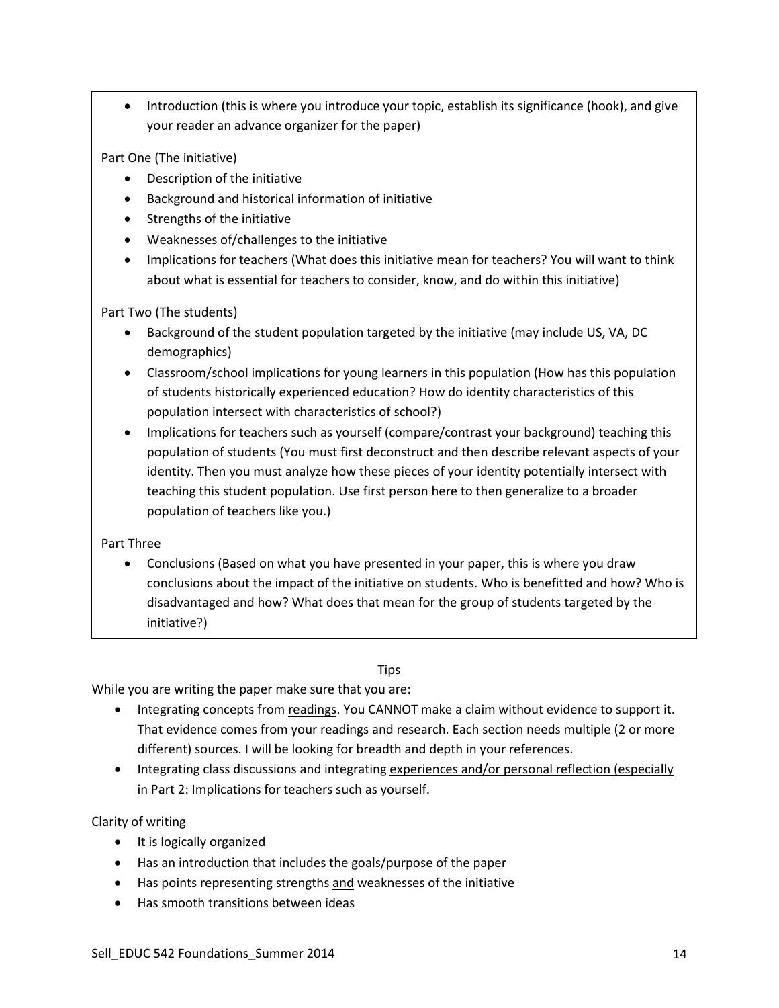• Introduction (this is where you introduce your topic, establish its significance (hook), and give your reader an advance organizer for the paper)

Part One (The initiative)

- Description of the initiative
- Background and historical information of initiative
- Strengths of the initiative
- Weaknesses of/challenges to the initiative
- Implications for teachers (What does this initiative mean for teachers? You will want to think about what is essential for teachers to consider, know, and do within this initiative)

Part Two (The students)

- Background of the student population targeted by the initiative (may include US, VA, DC demographics)
- Classroom/school implications for young learners in this population (How has this population of students historically experienced education? How do identity characteristics of this population intersect with characteristics of school?)
- Implications for teachers such as yourself (compare/contrast your background) teaching this population of students (You must first deconstruct and then describe relevant aspects of your identity. Then you must analyze how these pieces of your identity potentially intersect with teaching this student population. Use first person here to then generalize to a broader population of teachers like you.)

Part Three

• Conclusions (Based on what you have presented in your paper, this is where you draw conclusions about the impact of the initiative on students. Who is benefitted and how? Who is disadvantaged and how? What does that mean for the group of students targeted by the initiative?)

# **Tips**

While you are writing the paper make sure that you are:

- Integrating concepts from readings. You CANNOT make a claim without evidence to support it. That evidence comes from your readings and research. Each section needs multiple (2 or more different) sources. I will be looking for breadth and depth in your references.
- Integrating class discussions and integrating experiences and/or personal reflection (especially in Part 2: Implications for teachers such as yourself.

Clarity of writing

- It is logically organized
- Has an introduction that includes the goals/purpose of the paper
- Has points representing strengths and weaknesses of the initiative
- Has smooth transitions between ideas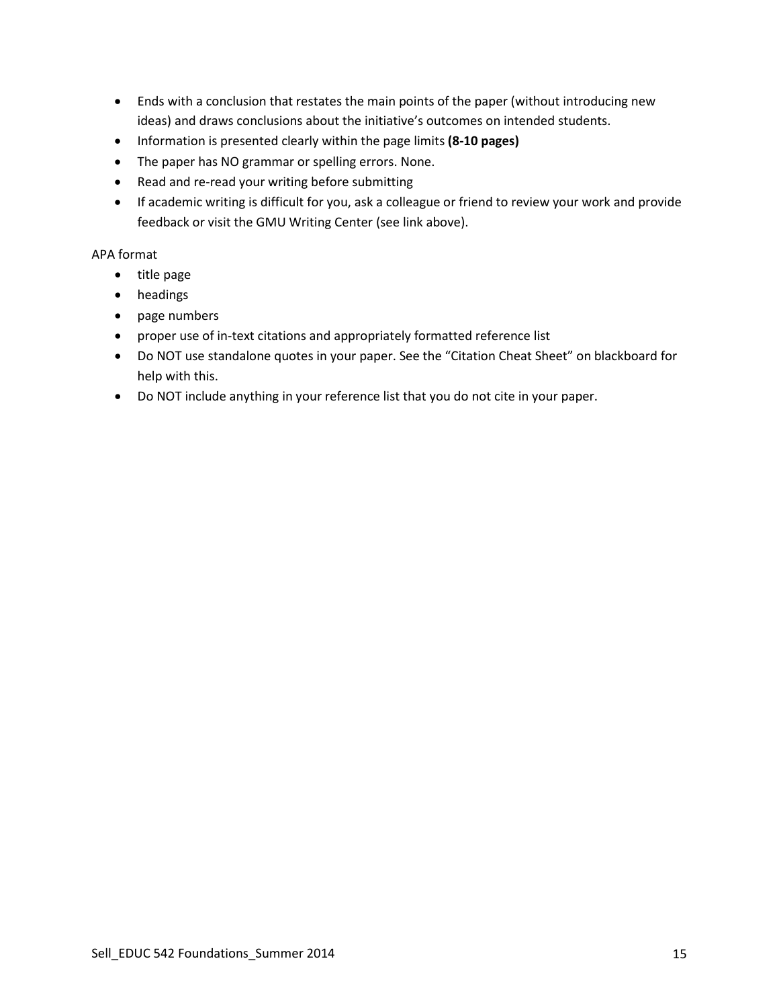- Ends with a conclusion that restates the main points of the paper (without introducing new ideas) and draws conclusions about the initiative's outcomes on intended students.
- Information is presented clearly within the page limits **(8-10 pages)**
- The paper has NO grammar or spelling errors. None.
- Read and re-read your writing before submitting
- If academic writing is difficult for you, ask a colleague or friend to review your work and provide feedback or visit the GMU Writing Center (see link above).

### APA format

- title page
- headings
- page numbers
- proper use of in-text citations and appropriately formatted reference list
- Do NOT use standalone quotes in your paper. See the "Citation Cheat Sheet" on blackboard for help with this.
- Do NOT include anything in your reference list that you do not cite in your paper.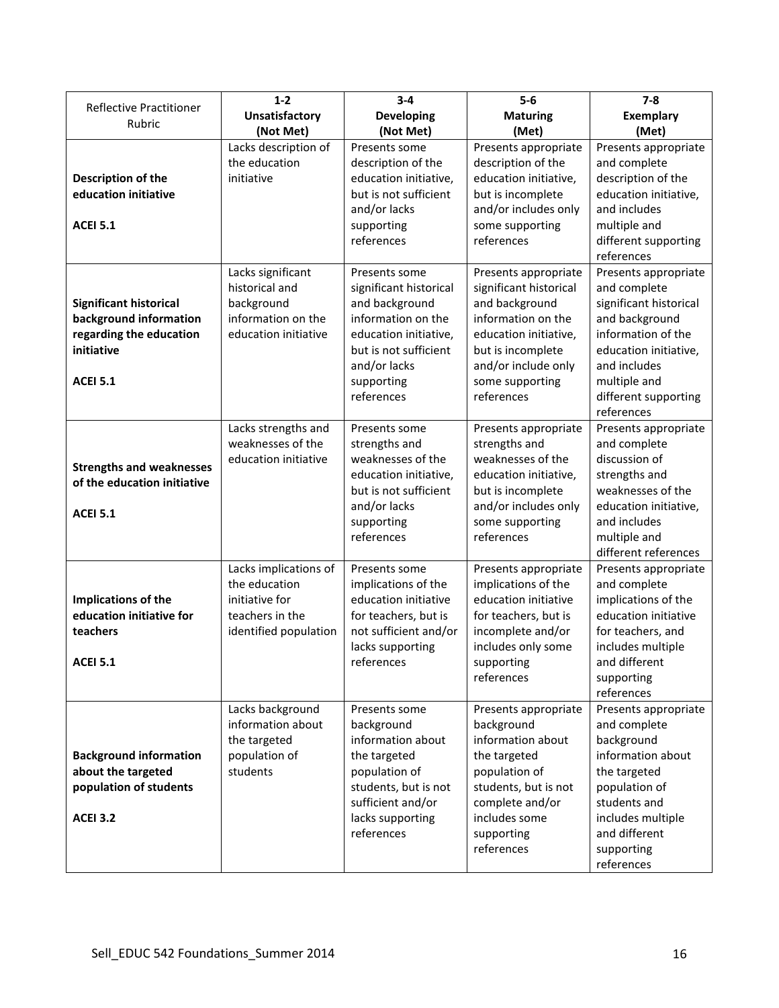| <b>Reflective Practitioner</b>                                                                                      | $1 - 2$                                                                                              | $3 - 4$                                                                                                                                                                       | $5-6$                                                                                                                                                                                        | $7 - 8$                                                                                                                                                                                               |
|---------------------------------------------------------------------------------------------------------------------|------------------------------------------------------------------------------------------------------|-------------------------------------------------------------------------------------------------------------------------------------------------------------------------------|----------------------------------------------------------------------------------------------------------------------------------------------------------------------------------------------|-------------------------------------------------------------------------------------------------------------------------------------------------------------------------------------------------------|
| Rubric                                                                                                              | <b>Unsatisfactory</b>                                                                                | <b>Developing</b>                                                                                                                                                             | <b>Maturing</b>                                                                                                                                                                              | <b>Exemplary</b>                                                                                                                                                                                      |
|                                                                                                                     | (Not Met)                                                                                            | (Not Met)                                                                                                                                                                     | (Met)                                                                                                                                                                                        | (Met)                                                                                                                                                                                                 |
| Description of the<br>education initiative<br><b>ACEI 5.1</b>                                                       | Lacks description of<br>the education<br>initiative                                                  | Presents some<br>description of the<br>education initiative,<br>but is not sufficient<br>and/or lacks<br>supporting<br>references                                             | Presents appropriate<br>description of the<br>education initiative,<br>but is incomplete<br>and/or includes only<br>some supporting<br>references                                            | Presents appropriate<br>and complete<br>description of the<br>education initiative,<br>and includes<br>multiple and<br>different supporting<br>references                                             |
| <b>Significant historical</b><br>background information<br>regarding the education<br>initiative<br><b>ACEI 5.1</b> | Lacks significant<br>historical and<br>background<br>information on the<br>education initiative      | Presents some<br>significant historical<br>and background<br>information on the<br>education initiative,<br>but is not sufficient<br>and/or lacks<br>supporting<br>references | Presents appropriate<br>significant historical<br>and background<br>information on the<br>education initiative,<br>but is incomplete<br>and/or include only<br>some supporting<br>references | Presents appropriate<br>and complete<br>significant historical<br>and background<br>information of the<br>education initiative,<br>and includes<br>multiple and<br>different supporting<br>references |
| <b>Strengths and weaknesses</b><br>of the education initiative<br><b>ACEI 5.1</b>                                   | Lacks strengths and<br>weaknesses of the<br>education initiative                                     | Presents some<br>strengths and<br>weaknesses of the<br>education initiative,<br>but is not sufficient<br>and/or lacks<br>supporting<br>references                             | Presents appropriate<br>strengths and<br>weaknesses of the<br>education initiative,<br>but is incomplete<br>and/or includes only<br>some supporting<br>references                            | Presents appropriate<br>and complete<br>discussion of<br>strengths and<br>weaknesses of the<br>education initiative,<br>and includes<br>multiple and<br>different references                          |
| Implications of the<br>education initiative for<br>teachers<br><b>ACEI 5.1</b>                                      | Lacks implications of<br>the education<br>initiative for<br>teachers in the<br>identified population | Presents some<br>implications of the<br>education initiative<br>for teachers, but is<br>not sufficient and/or<br>lacks supporting<br>references                               | Presents appropriate<br>implications of the<br>education initiative<br>for teachers, but is<br>incomplete and/or<br>includes only some<br>supporting<br>references                           | Presents appropriate<br>and complete<br>implications of the<br>education initiative<br>for teachers, and<br>includes multiple<br>and different<br>supporting<br>references                            |
| <b>Background information</b><br>about the targeted<br>population of students<br><b>ACEI 3.2</b>                    | Lacks background<br>information about<br>the targeted<br>population of<br>students                   | Presents some<br>background<br>information about<br>the targeted<br>population of<br>students, but is not<br>sufficient and/or<br>lacks supporting<br>references              | Presents appropriate<br>background<br>information about<br>the targeted<br>population of<br>students, but is not<br>complete and/or<br>includes some<br>supporting<br>references             | Presents appropriate<br>and complete<br>background<br>information about<br>the targeted<br>population of<br>students and<br>includes multiple<br>and different<br>supporting<br>references            |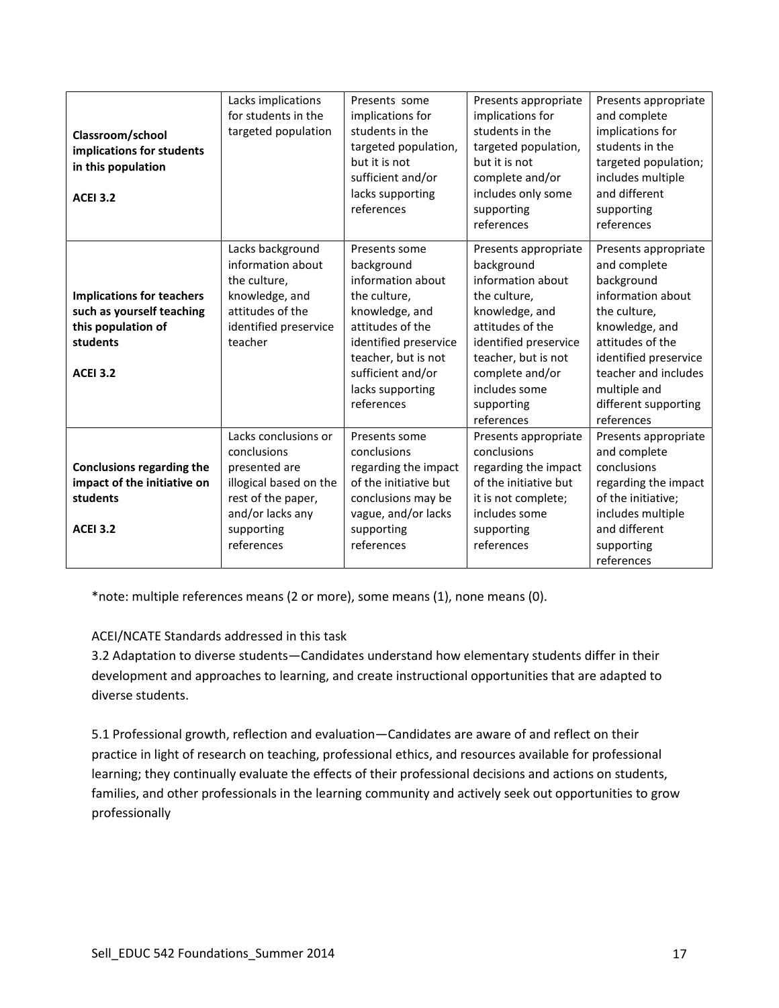| Classroom/school<br>implications for students<br>in this population<br><b>ACEI 3.2</b>                             | Lacks implications<br>for students in the<br>targeted population                                                                                     | Presents some<br>implications for<br>students in the<br>targeted population,<br>but it is not<br>sufficient and/or<br>lacks supporting<br>references                                                          | Presents appropriate<br>implications for<br>students in the<br>targeted population,<br>but it is not<br>complete and/or<br>includes only some<br>supporting<br>references                                                     | Presents appropriate<br>and complete<br>implications for<br>students in the<br>targeted population;<br>includes multiple<br>and different<br>supporting<br>references                                                                |
|--------------------------------------------------------------------------------------------------------------------|------------------------------------------------------------------------------------------------------------------------------------------------------|---------------------------------------------------------------------------------------------------------------------------------------------------------------------------------------------------------------|-------------------------------------------------------------------------------------------------------------------------------------------------------------------------------------------------------------------------------|--------------------------------------------------------------------------------------------------------------------------------------------------------------------------------------------------------------------------------------|
| <b>Implications for teachers</b><br>such as yourself teaching<br>this population of<br>students<br><b>ACEI 3.2</b> | Lacks background<br>information about<br>the culture,<br>knowledge, and<br>attitudes of the<br>identified preservice<br>teacher                      | Presents some<br>background<br>information about<br>the culture,<br>knowledge, and<br>attitudes of the<br>identified preservice<br>teacher, but is not<br>sufficient and/or<br>lacks supporting<br>references | Presents appropriate<br>background<br>information about<br>the culture,<br>knowledge, and<br>attitudes of the<br>identified preservice<br>teacher, but is not<br>complete and/or<br>includes some<br>supporting<br>references | Presents appropriate<br>and complete<br>background<br>information about<br>the culture,<br>knowledge, and<br>attitudes of the<br>identified preservice<br>teacher and includes<br>multiple and<br>different supporting<br>references |
| <b>Conclusions regarding the</b><br>impact of the initiative on<br>students<br><b>ACEI 3.2</b>                     | Lacks conclusions or<br>conclusions<br>presented are<br>illogical based on the<br>rest of the paper,<br>and/or lacks any<br>supporting<br>references | Presents some<br>conclusions<br>regarding the impact<br>of the initiative but<br>conclusions may be<br>vague, and/or lacks<br>supporting<br>references                                                        | Presents appropriate<br>conclusions<br>regarding the impact<br>of the initiative but<br>it is not complete;<br>includes some<br>supporting<br>references                                                                      | Presents appropriate<br>and complete<br>conclusions<br>regarding the impact<br>of the initiative;<br>includes multiple<br>and different<br>supporting<br>references                                                                  |

\*note: multiple references means (2 or more), some means (1), none means (0).

# ACEI/NCATE Standards addressed in this task

3.2 Adaptation to diverse students—Candidates understand how elementary students differ in their development and approaches to learning, and create instructional opportunities that are adapted to diverse students.

5.1 Professional growth, reflection and evaluation—Candidates are aware of and reflect on their practice in light of research on teaching, professional ethics, and resources available for professional learning; they continually evaluate the effects of their professional decisions and actions on students, families, and other professionals in the learning community and actively seek out opportunities to grow professionally